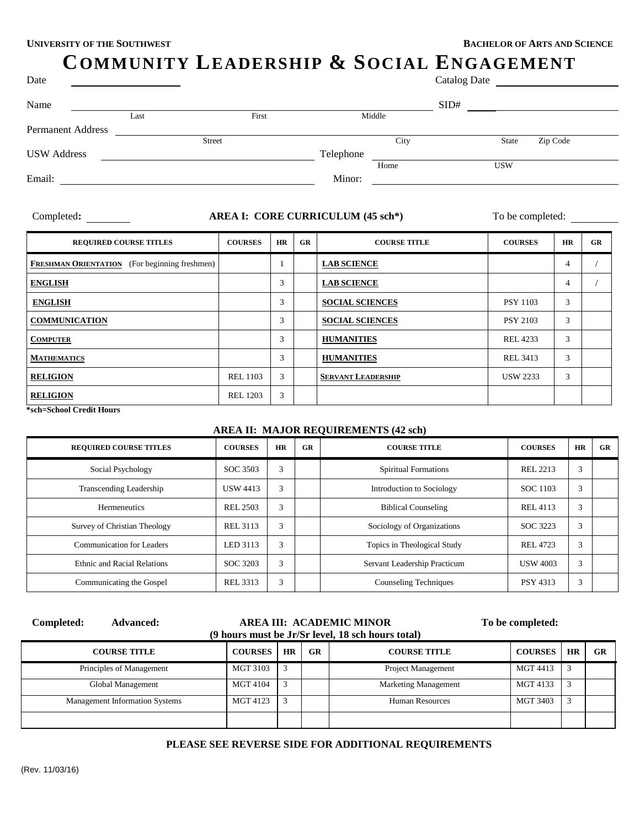# **COMMUNITY LEADERSHIP & SOCIAL ENGAGEMENT**

| Catalog Date |  |
|--------------|--|
|              |  |

| Date               |      |               |           |      | Catalog Date |            |          |
|--------------------|------|---------------|-----------|------|--------------|------------|----------|
| Name               |      |               |           |      | SID#         |            |          |
|                    | Last | First         | Middle    |      |              |            |          |
| Permanent Address  |      |               |           |      |              |            |          |
|                    |      | <b>Street</b> |           | City |              | State      | Zip Code |
| <b>USW Address</b> |      |               | Telephone |      |              |            |          |
|                    |      |               |           | Home |              | <b>USW</b> |          |
| Email:             |      |               | Minor:    |      |              |            |          |
|                    |      |               |           |      |              |            |          |
|                    |      |               |           |      |              |            |          |

## Completed: **AREA I: CORE CURRICULUM** (45 sch<sup>\*</sup>) To be completed:

| <b>REQUIRED COURSE TITLES</b>                        | <b>COURSES</b>  | HR | GR | <b>COURSE TITLE</b>       | <b>COURSES</b>  | <b>HR</b> | GR |
|------------------------------------------------------|-----------------|----|----|---------------------------|-----------------|-----------|----|
| <b>FRESHMAN ORIENTATION</b> (For beginning freshmen) |                 |    |    | <b>LAB SCIENCE</b>        |                 | 4         |    |
| <b>ENGLISH</b>                                       |                 | 3  |    | <b>LAB SCIENCE</b>        |                 | 4         |    |
| <b>ENGLISH</b>                                       |                 | 3  |    | <b>SOCIAL SCIENCES</b>    | <b>PSY 1103</b> | 3         |    |
| <b>COMMUNICATION</b>                                 |                 | 3  |    | <b>SOCIAL SCIENCES</b>    | <b>PSY 2103</b> | 3         |    |
| <b>COMPUTER</b>                                      |                 | 3  |    | <b>HUMANITIES</b>         | <b>REL 4233</b> | 3         |    |
| <b>MATHEMATICS</b>                                   |                 | 3  |    | <b>HUMANITIES</b>         | <b>REL 3413</b> | 3         |    |
| <b>RELIGION</b>                                      | <b>REL 1103</b> | 3  |    | <b>SERVANT LEADERSHIP</b> | <b>USW 2233</b> | 3         |    |
| <b>RELIGION</b><br>$A = 1$ $A = 1$ $A = 11$          | <b>REL 1203</b> | 3  |    |                           |                 |           |    |

 **\*sch=School Credit Hours**

#### **AREA II: MAJOR REQUIREMENTS (42 sch)**

| <b>REQUIRED COURSE TITLES</b>      | <b>COURSES</b>  | <b>HR</b> | GR | <b>COURSE TITLE</b>          | <b>COURSES</b>  | <b>HR</b> | GR |
|------------------------------------|-----------------|-----------|----|------------------------------|-----------------|-----------|----|
| Social Psychology                  | SOC 3503        | 3         |    | <b>Spiritual Formations</b>  | REL 2213        | 3         |    |
| <b>Transcending Leadership</b>     | <b>USW 4413</b> | 3         |    | Introduction to Sociology    | SOC 1103        | 3         |    |
| <b>Hermeneutics</b>                | REL 2503        | 3         |    | <b>Biblical Counseling</b>   | REL 4113        | 3         |    |
| Survey of Christian Theology       | REL 3113        | 3         |    | Sociology of Organizations   | SOC 3223        | 3         |    |
| <b>Communication for Leaders</b>   | LED 3113        | 3         |    | Topics in Theological Study  | REL 4723        | 3         |    |
| <b>Ethnic and Racial Relations</b> | SOC 3203        | 3         |    | Servant Leadership Practicum | <b>USW 4003</b> | 3         |    |
| Communicating the Gospel           | REL 3313        | 3         |    | <b>Counseling Techniques</b> | <b>PSY 4313</b> | 3         |    |

| Completed:<br><b>Advanced:</b>        |                 | AREA III: ACADEMIC MINOR<br>(9 hours must be Jr/Sr level, 18 sch hours total) |           |                             |                 | To be completed: |    |
|---------------------------------------|-----------------|-------------------------------------------------------------------------------|-----------|-----------------------------|-----------------|------------------|----|
| <b>COURSE TITLE</b>                   | <b>COURSES</b>  | <b>HR</b>                                                                     | <b>GR</b> | <b>COURSE TITLE</b>         | <b>COURSES</b>  | HR               | GR |
| Principles of Management              | <b>MGT 3103</b> | 3                                                                             |           | Project Management          | <b>MGT 4413</b> | 3                |    |
| Global Management                     | MGT 4104        | 3                                                                             |           | <b>Marketing Management</b> | MGT 4133        |                  |    |
| <b>Management Information Systems</b> | MGT 4123        | 3                                                                             |           | Human Resources             | <b>MGT 3403</b> |                  |    |
|                                       |                 |                                                                               |           |                             |                 |                  |    |

#### **PLEASE SEE REVERSE SIDE FOR ADDITIONAL REQUIREMENTS**